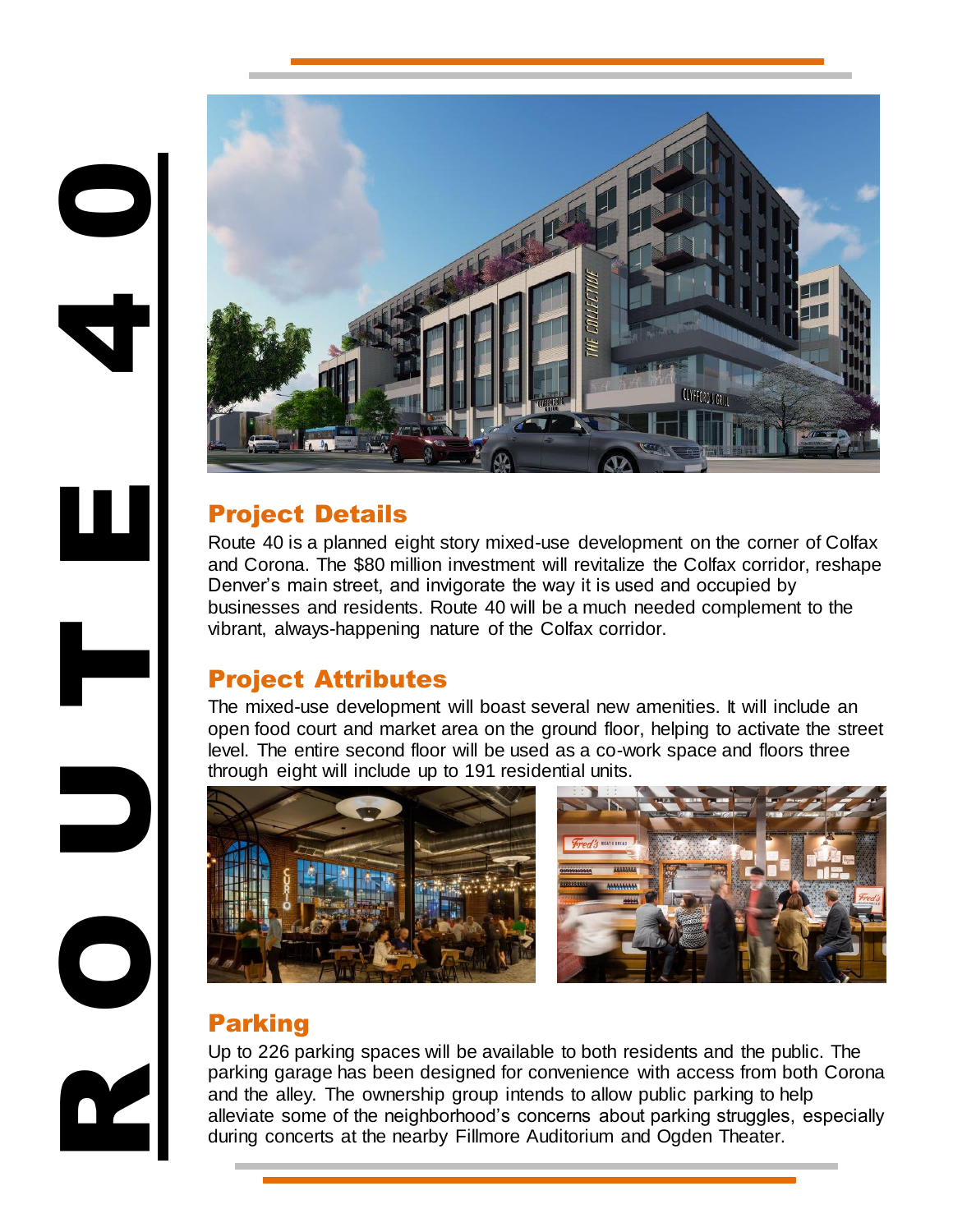

# Project Details

4

0

Route 40 is a planned eight story mixed-use development on the corner of Colfax and Corona. The \$80 million investment will revitalize the Colfax corridor, reshape Denver's main street, and invigorate the way it is used and occupied by businesses and residents. Route 40 will be a much needed complement to the vibrant, always-happening nature of the Colfax corridor.

## Project Attributes

The mixed-use development will boast several new amenities. It will include an open food court and market area on the ground floor, helping to activate the street level. The entire second floor will be used as a co-work space and floors three through eight will include up to 191 residential units.



## Parking

Up to 226 parking spaces will be available to both residents and the public. The parking garage has been designed for convenience with access from both Corona and the alley. The ownership group intends to allow public parking to help alleviate some of the neighborhood's concerns about parking struggles, especially